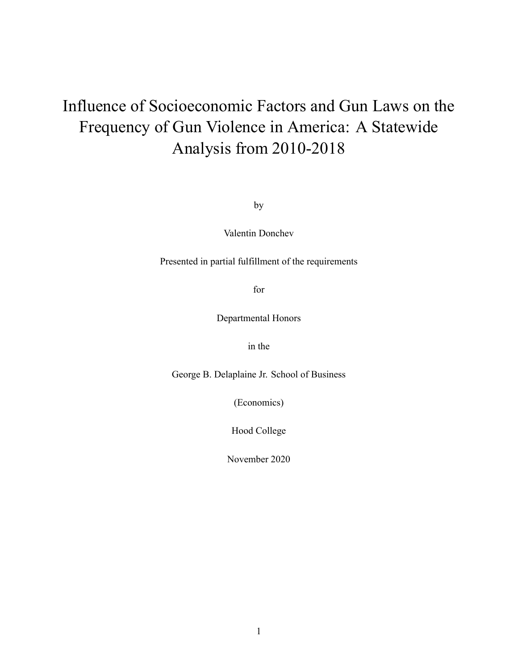# Influence of Socioeconomic Factors and Gun Laws on the Frequency of Gun Violence in America: A Statewide Analysis from 2010-2018

by

Valentin Donchev

Presented in partial fulfillment of the requirements

for

Departmental Honors

in the

George B. Delaplaine Jr. School of Business

(Economics)

Hood College

November 2020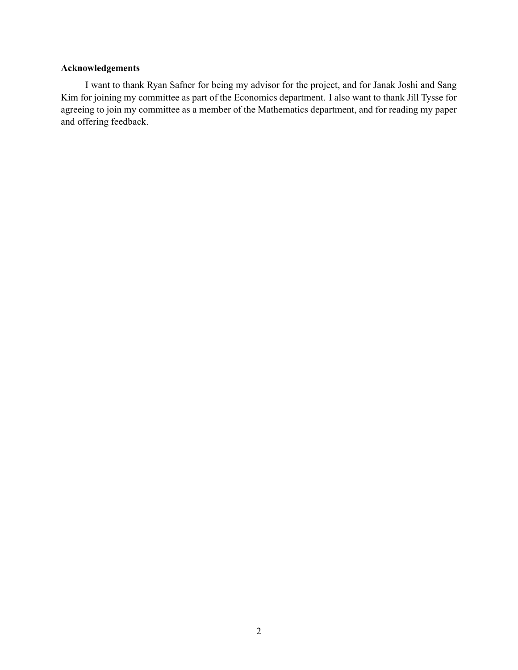### **Acknowledgements**

I want to thank Ryan Safner for being my advisor for the project, and for Janak Joshi and Sang Kim for joining my committee as part of the Economics department. I also want to thank Jill Tysse for agreeing to join my committee as a member of the Mathematics department, and for reading my paper and offering feedback.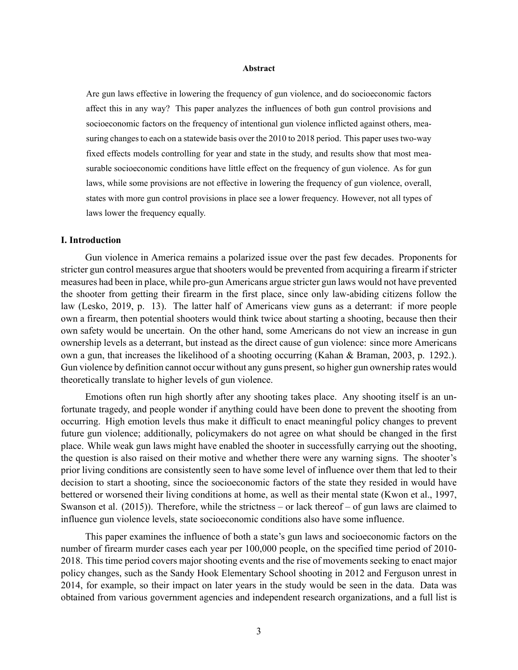#### **Abstract**

Are gun laws effective in lowering the frequency of gun violence, and do socioeconomic factors affect this in any way? This paper analyzes the influences of both gun control provisions and socioeconomic factors on the frequency of intentional gun violence inflicted against others, measuring changes to each on a statewide basis over the 2010 to 2018 period. This paper uses two-way fixed effects models controlling for year and state in the study, and results show that most measurable socioeconomic conditions have little effect on the frequency of gun violence. As for gun laws, while some provisions are not effective in lowering the frequency of gun violence, overall, states with more gun control provisions in place see a lower frequency. However, not all types of laws lower the frequency equally.

#### **I. Introduction**

Gun violence in America remains a polarized issue over the past few decades. Proponents for stricter gun control measures argue that shooters would be prevented from acquiring a firearm if stricter measures had been in place, while pro-gun Americans argue stricter gun laws would not have prevented the shooter from getting their firearm in the first place, since only law-abiding citizens follow the law (Lesko, 2019, p. 13). The latter half of Americans view guns as a deterrant: if more people own a firearm, then potential shooters would think twice about starting a shooting, because then their own safety would be uncertain. On the other hand, some Americans do not view an increase in gun ownership levels as a deterrant, but instead as the direct cause of gun violence: since more Americans own a gun, that increases the likelihood of a shooting occurring (Kahan & Braman, 2003, p. 1292.). Gun violence by definition cannot occur without any guns present, so higher gun ownership rates would theoretically translate to higher levels of gun violence.

Emotions often run high shortly after any shooting takes place. Any shooting itself is an unfortunate tragedy, and people wonder if anything could have been done to prevent the shooting from occurring. High emotion levels thus make it difficult to enact meaningful policy changes to prevent future gun violence; additionally, policymakers do not agree on what should be changed in the first place. While weak gun laws might have enabled the shooter in successfully carrying out the shooting, the question is also raised on their motive and whether there were any warning signs. The shooter's prior living conditions are consistently seen to have some level of influence over them that led to their decision to start a shooting, since the socioeconomic factors of the state they resided in would have bettered or worsened their living conditions at home, as well as their mental state (Kwon et al., 1997, Swanson et al. (2015)). Therefore, while the strictness – or lack thereof – of gun laws are claimed to influence gun violence levels, state socioeconomic conditions also have some influence.

This paper examines the influence of both a state's gun laws and socioeconomic factors on the number of firearm murder cases each year per 100,000 people, on the specified time period of 2010- 2018. This time period covers major shooting events and the rise of movements seeking to enact major policy changes, such as the Sandy Hook Elementary School shooting in 2012 and Ferguson unrest in 2014, for example, so their impact on later years in the study would be seen in the data. Data was obtained from various government agencies and independent research organizations, and a full list is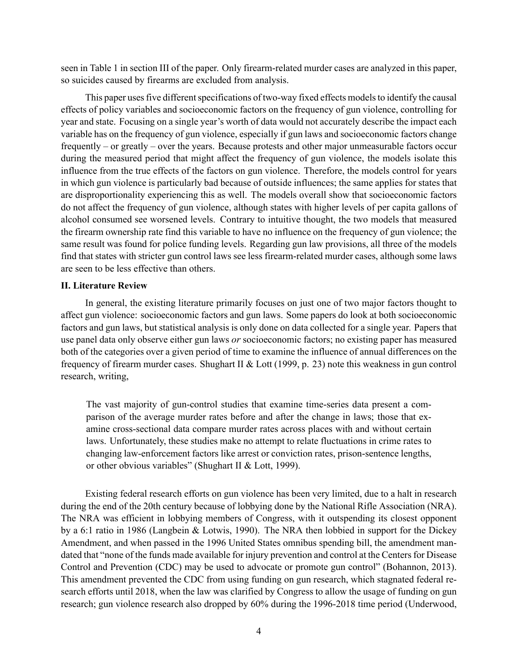seen in Table 1 in section III of the paper. Only firearm-related murder cases are analyzed in this paper, so suicides caused by firearms are excluded from analysis.

This paper uses five different specifications of two-way fixed effects models to identify the causal effects of policy variables and socioeconomic factors on the frequency of gun violence, controlling for year and state. Focusing on a single year's worth of data would not accurately describe the impact each variable has on the frequency of gun violence, especially if gun laws and socioeconomic factors change frequently – or greatly – over the years. Because protests and other major unmeasurable factors occur during the measured period that might affect the frequency of gun violence, the models isolate this influence from the true effects of the factors on gun violence. Therefore, the models control for years in which gun violence is particularly bad because of outside influences; the same applies for states that are disproportionality experiencing this as well. The models overall show that socioeconomic factors do not affect the frequency of gun violence, although states with higher levels of per capita gallons of alcohol consumed see worsened levels. Contrary to intuitive thought, the two models that measured the firearm ownership rate find this variable to have no influence on the frequency of gun violence; the same result was found for police funding levels. Regarding gun law provisions, all three of the models find that states with stricter gun control laws see less firearm-related murder cases, although some laws are seen to be less effective than others.

#### **II. Literature Review**

In general, the existing literature primarily focuses on just one of two major factors thought to affect gun violence: socioeconomic factors and gun laws. Some papers do look at both socioeconomic factors and gun laws, but statistical analysis is only done on data collected for a single year. Papers that use panel data only observe either gun laws *or* socioeconomic factors; no existing paper has measured both of the categories over a given period of time to examine the influence of annual differences on the frequency of firearm murder cases. Shughart II & Lott (1999, p. 23) note this weakness in gun control research, writing,

The vast majority of gun-control studies that examine time-series data present a comparison of the average murder rates before and after the change in laws; those that examine cross-sectional data compare murder rates across places with and without certain laws. Unfortunately, these studies make no attempt to relate fluctuations in crime rates to changing law-enforcement factors like arrest or conviction rates, prison-sentence lengths, or other obvious variables" (Shughart II & Lott, 1999).

Existing federal research efforts on gun violence has been very limited, due to a halt in research during the end of the 20th century because of lobbying done by the National Rifle Association (NRA). The NRA was efficient in lobbying members of Congress, with it outspending its closest opponent by a 6:1 ratio in 1986 (Langbein & Lotwis, 1990). The NRA then lobbied in support for the Dickey Amendment, and when passed in the 1996 United States omnibus spending bill, the amendment mandated that "none of the funds made available for injury prevention and control at the Centers for Disease Control and Prevention (CDC) may be used to advocate or promote gun control" (Bohannon, 2013). This amendment prevented the CDC from using funding on gun research, which stagnated federal research efforts until 2018, when the law was clarified by Congress to allow the usage of funding on gun research; gun violence research also dropped by 60% during the 1996-2018 time period (Underwood,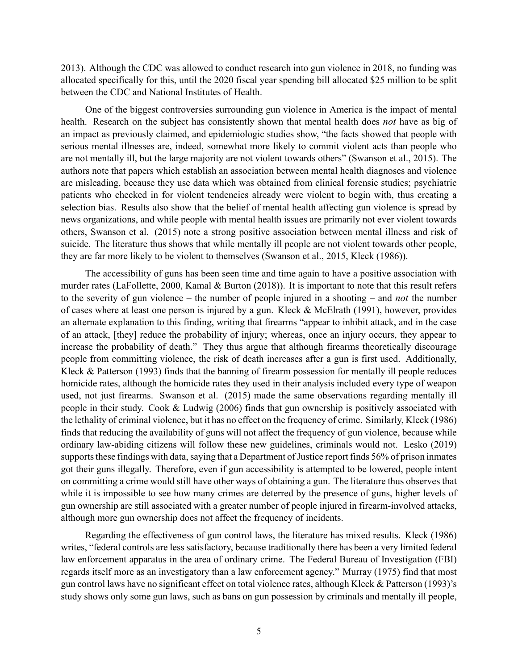2013). Although the CDC was allowed to conduct research into gun violence in 2018, no funding was allocated specifically for this, until the 2020 fiscal year spending bill allocated \$25 million to be split between the CDC and National Institutes of Health.

One of the biggest controversies surrounding gun violence in America is the impact of mental health. Research on the subject has consistently shown that mental health does *not* have as big of an impact as previously claimed, and epidemiologic studies show, "the facts showed that people with serious mental illnesses are, indeed, somewhat more likely to commit violent acts than people who are not mentally ill, but the large majority are not violent towards others" (Swanson et al., 2015). The authors note that papers which establish an association between mental health diagnoses and violence are misleading, because they use data which was obtained from clinical forensic studies; psychiatric patients who checked in for violent tendencies already were violent to begin with, thus creating a selection bias. Results also show that the belief of mental health affecting gun violence is spread by news organizations, and while people with mental health issues are primarily not ever violent towards others, Swanson et al. (2015) note a strong positive association between mental illness and risk of suicide. The literature thus shows that while mentally ill people are not violent towards other people, they are far more likely to be violent to themselves (Swanson et al., 2015, Kleck (1986)).

The accessibility of guns has been seen time and time again to have a positive association with murder rates (LaFollette, 2000, Kamal & Burton (2018)). It is important to note that this result refers to the severity of gun violence – the number of people injured in a shooting – and *not* the number of cases where at least one person is injured by a gun. Kleck & McElrath (1991), however, provides an alternate explanation to this finding, writing that firearms "appear to inhibit attack, and in the case of an attack, [they] reduce the probability of injury; whereas, once an injury occurs, they appear to increase the probability of death." They thus argue that although firearms theoretically discourage people from committing violence, the risk of death increases after a gun is first used. Additionally, Kleck & Patterson (1993) finds that the banning of firearm possession for mentally ill people reduces homicide rates, although the homicide rates they used in their analysis included every type of weapon used, not just firearms. Swanson et al. (2015) made the same observations regarding mentally ill people in their study. Cook & Ludwig (2006) finds that gun ownership is positively associated with the lethality of criminal violence, but it has no effect on the frequency of crime. Similarly, Kleck (1986) finds that reducing the availability of guns will not affect the frequency of gun violence, because while ordinary law-abiding citizens will follow these new guidelines, criminals would not. Lesko (2019) supports these findings with data, saying that a Department of Justice report finds 56% of prison inmates got their guns illegally. Therefore, even if gun accessibility is attempted to be lowered, people intent on committing a crime would still have other ways of obtaining a gun. The literature thus observes that while it is impossible to see how many crimes are deterred by the presence of guns, higher levels of gun ownership are still associated with a greater number of people injured in firearm-involved attacks, although more gun ownership does not affect the frequency of incidents.

Regarding the effectiveness of gun control laws, the literature has mixed results. Kleck (1986) writes, "federal controls are less satisfactory, because traditionally there has been a very limited federal law enforcement apparatus in the area of ordinary crime. The Federal Bureau of Investigation (FBI) regards itself more as an investigatory than a law enforcement agency." Murray (1975) find that most gun control laws have no significant effect on total violence rates, although Kleck & Patterson (1993)'s study shows only some gun laws, such as bans on gun possession by criminals and mentally ill people,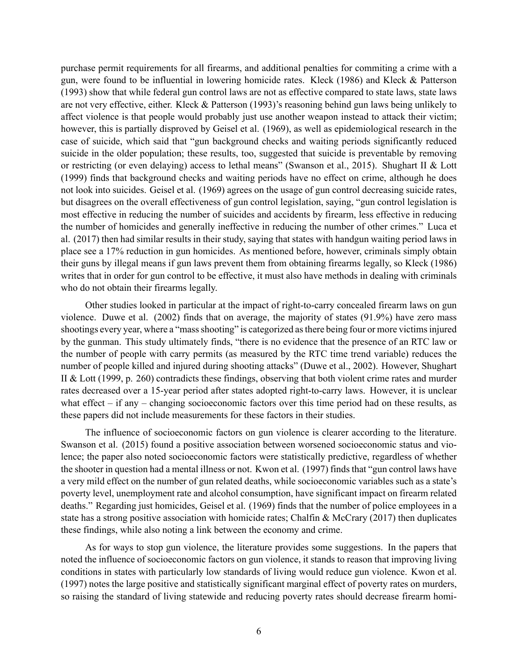purchase permit requirements for all firearms, and additional penalties for commiting a crime with a gun, were found to be influential in lowering homicide rates. Kleck (1986) and Kleck & Patterson (1993) show that while federal gun control laws are not as effective compared to state laws, state laws are not very effective, either. Kleck & Patterson (1993)'s reasoning behind gun laws being unlikely to affect violence is that people would probably just use another weapon instead to attack their victim; however, this is partially disproved by Geisel et al. (1969), as well as epidemiological research in the case of suicide, which said that "gun background checks and waiting periods significantly reduced suicide in the older population; these results, too, suggested that suicide is preventable by removing or restricting (or even delaying) access to lethal means" (Swanson et al., 2015). Shughart II & Lott (1999) finds that background checks and waiting periods have no effect on crime, although he does not look into suicides. Geisel et al. (1969) agrees on the usage of gun control decreasing suicide rates, but disagrees on the overall effectiveness of gun control legislation, saying, "gun control legislation is most effective in reducing the number of suicides and accidents by firearm, less effective in reducing the number of homicides and generally ineffective in reducing the number of other crimes." Luca et al. (2017) then had similar results in their study, saying that states with handgun waiting period laws in place see a 17% reduction in gun homicides. As mentioned before, however, criminals simply obtain their guns by illegal means if gun laws prevent them from obtaining firearms legally, so Kleck (1986) writes that in order for gun control to be effective, it must also have methods in dealing with criminals who do not obtain their firearms legally.

Other studies looked in particular at the impact of right-to-carry concealed firearm laws on gun violence. Duwe et al. (2002) finds that on average, the majority of states (91.9%) have zero mass shootings every year, where a "mass shooting" is categorized as there being four or more victims injured by the gunman. This study ultimately finds, "there is no evidence that the presence of an RTC law or the number of people with carry permits (as measured by the RTC time trend variable) reduces the number of people killed and injured during shooting attacks" (Duwe et al., 2002). However, Shughart II & Lott (1999, p. 260) contradicts these findings, observing that both violent crime rates and murder rates decreased over a 15-year period after states adopted right-to-carry laws. However, it is unclear what effect  $-$  if any  $-$  changing socioeconomic factors over this time period had on these results, as these papers did not include measurements for these factors in their studies.

The influence of socioeconomic factors on gun violence is clearer according to the literature. Swanson et al. (2015) found a positive association between worsened socioeconomic status and violence; the paper also noted socioeconomic factors were statistically predictive, regardless of whether the shooter in question had a mental illness or not. Kwon et al. (1997) finds that "gun control laws have a very mild effect on the number of gun related deaths, while socioeconomic variables such as a state's poverty level, unemployment rate and alcohol consumption, have significant impact on firearm related deaths." Regarding just homicides, Geisel et al. (1969) finds that the number of police employees in a state has a strong positive association with homicide rates; Chalfin & McCrary (2017) then duplicates these findings, while also noting a link between the economy and crime.

As for ways to stop gun violence, the literature provides some suggestions. In the papers that noted the influence of socioeconomic factors on gun violence, it stands to reason that improving living conditions in states with particularly low standards of living would reduce gun violence. Kwon et al. (1997) notes the large positive and statistically significant marginal effect of poverty rates on murders, so raising the standard of living statewide and reducing poverty rates should decrease firearm homi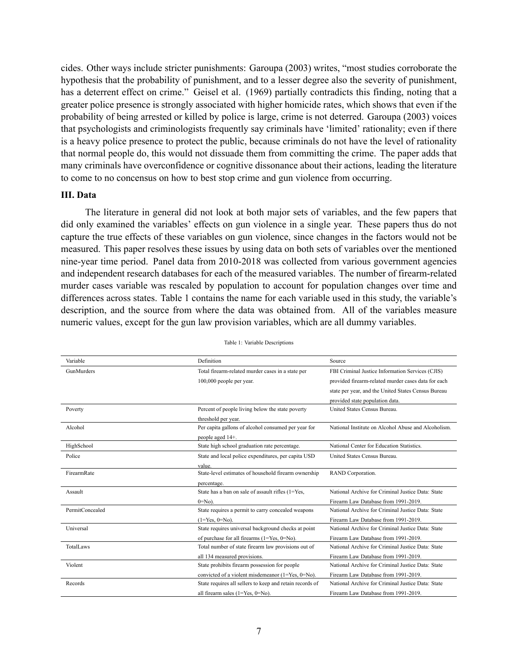cides. Other ways include stricter punishments: Garoupa (2003) writes, "most studies corroborate the hypothesis that the probability of punishment, and to a lesser degree also the severity of punishment, has a deterrent effect on crime." Geisel et al. (1969) partially contradicts this finding, noting that a greater police presence is strongly associated with higher homicide rates, which shows that even if the probability of being arrested or killed by police is large, crime is not deterred. Garoupa (2003) voices that psychologists and criminologists frequently say criminals have 'limited' rationality; even if there is a heavy police presence to protect the public, because criminals do not have the level of rationality that normal people do, this would not dissuade them from committing the crime. The paper adds that many criminals have overconfidence or cognitive dissonance about their actions, leading the literature to come to no concensus on how to best stop crime and gun violence from occurring.

#### **III. Data**

The literature in general did not look at both major sets of variables, and the few papers that did only examined the variables' effects on gun violence in a single year. These papers thus do not capture the true effects of these variables on gun violence, since changes in the factors would not be measured. This paper resolves these issues by using data on both sets of variables over the mentioned nine-year time period. Panel data from 2010-2018 was collected from various government agencies and independent research databases for each of the measured variables. The number of firearm-related murder cases variable was rescaled by population to account for population changes over time and differences across states. Table 1 contains the name for each variable used in this study, the variable's description, and the source from where the data was obtained from. All of the variables measure numeric values, except for the gun law provision variables, which are all dummy variables.

| Variable        | Definition                                               | Source                                              |
|-----------------|----------------------------------------------------------|-----------------------------------------------------|
| GunMurders      | Total firearm-related murder cases in a state per        | FBI Criminal Justice Information Services (CJIS)    |
|                 | 100,000 people per year.                                 | provided firearm-related murder cases data for each |
|                 |                                                          | state per year, and the United States Census Bureau |
|                 |                                                          | provided state population data.                     |
| Poverty         | Percent of people living below the state poverty         | United States Census Bureau.                        |
|                 | threshold per year.                                      |                                                     |
| Alcohol         | Per capita gallons of alcohol consumed per year for      | National Institute on Alcohol Abuse and Alcoholism. |
|                 | people aged 14+.                                         |                                                     |
| HighSchool      | State high school graduation rate percentage.            | National Center for Education Statistics.           |
| Police          | State and local police expenditures, per capita USD      | United States Census Bureau.                        |
|                 | value.                                                   |                                                     |
| FirearmRate     | State-level estimates of household firearm ownership     | RAND Corporation.                                   |
|                 | percentage.                                              |                                                     |
| Assault         | State has a ban on sale of assault rifles (1=Yes,        | National Archive for Criminal Justice Data: State   |
|                 | $0 = No$ ).                                              | Firearm Law Database from 1991-2019.                |
| PermitConcealed | State requires a permit to carry concealed weapons       | National Archive for Criminal Justice Data: State   |
|                 | $(1 = Yes, 0 = No).$                                     | Firearm Law Database from 1991-2019.                |
| Universal       | State requires universal background checks at point      | National Archive for Criminal Justice Data: State   |
|                 | of purchase for all firearms $(1 = Yes, 0 = No)$ .       | Firearm Law Database from 1991-2019.                |
| TotalLaws       | Total number of state firearm law provisions out of      | National Archive for Criminal Justice Data: State   |
|                 | all 134 measured provisions.                             | Firearm Law Database from 1991-2019.                |
| Violent         | State prohibits firearm possession for people            | National Archive for Criminal Justice Data: State   |
|                 | convicted of a violent misdemeanor (1=Yes, 0=No).        | Firearm Law Database from 1991-2019.                |
| Records         | State requires all sellers to keep and retain records of | National Archive for Criminal Justice Data: State   |
|                 | all firearm sales $(1 = Yes, 0 = No)$ .                  | Firearm Law Database from 1991-2019.                |

Table 1: Variable Descriptions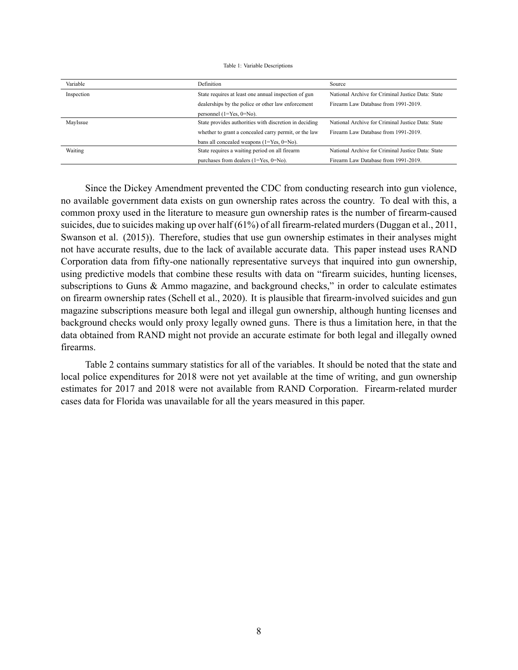#### Table 1: Variable Descriptions

| Variable   | Definition                                             | Source                                            |
|------------|--------------------------------------------------------|---------------------------------------------------|
| Inspection | State requires at least one annual inspection of gun   | National Archive for Criminal Justice Data: State |
|            | dealerships by the police or other law enforcement     | Firearm Law Database from 1991-2019.              |
|            | personnel $(1 = Yes, 0 = No)$ .                        |                                                   |
| MayIssue   | State provides authorities with discretion in deciding | National Archive for Criminal Justice Data: State |
|            | whether to grant a concealed carry permit, or the law  | Firearm Law Database from 1991-2019.              |
|            | bans all concealed weapons $(1 = Yes, 0 = No)$ .       |                                                   |
| Waiting    | State requires a waiting period on all firearm         | National Archive for Criminal Justice Data: State |
|            | purchases from dealers $(1 = Yes, 0 = No)$ .           | Firearm Law Database from 1991-2019.              |

Since the Dickey Amendment prevented the CDC from conducting research into gun violence, no available government data exists on gun ownership rates across the country. To deal with this, a common proxy used in the literature to measure gun ownership rates is the number of firearm-caused suicides, due to suicides making up over half (61%) of all firearm-related murders (Duggan et al., 2011, Swanson et al. (2015)). Therefore, studies that use gun ownership estimates in their analyses might not have accurate results, due to the lack of available accurate data. This paper instead uses RAND Corporation data from fifty-one nationally representative surveys that inquired into gun ownership, using predictive models that combine these results with data on "firearm suicides, hunting licenses, subscriptions to Guns & Ammo magazine, and background checks," in order to calculate estimates on firearm ownership rates (Schell et al., 2020). It is plausible that firearm-involved suicides and gun magazine subscriptions measure both legal and illegal gun ownership, although hunting licenses and background checks would only proxy legally owned guns. There is thus a limitation here, in that the data obtained from RAND might not provide an accurate estimate for both legal and illegally owned firearms.

Table 2 contains summary statistics for all of the variables. It should be noted that the state and local police expenditures for 2018 were not yet available at the time of writing, and gun ownership estimates for 2017 and 2018 were not available from RAND Corporation. Firearm-related murder cases data for Florida was unavailable for all the years measured in this paper.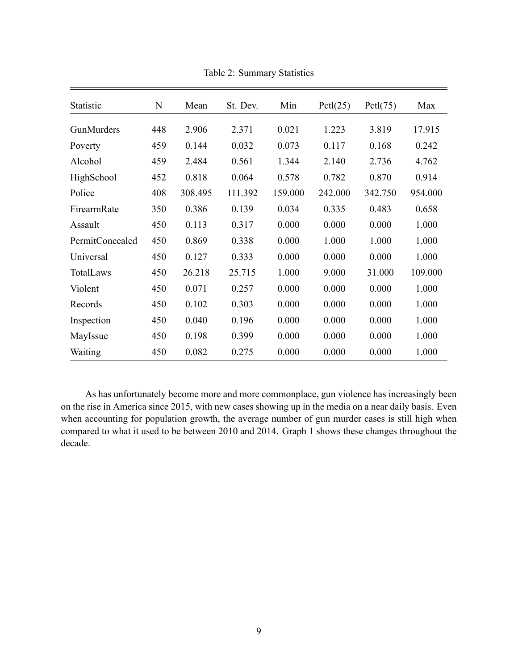| Statistic       | N   | Mean    | St. Dev. | Min     | Pctl(25) | Pctl(75) | Max     |
|-----------------|-----|---------|----------|---------|----------|----------|---------|
| GunMurders      | 448 | 2.906   | 2.371    | 0.021   | 1.223    | 3.819    | 17.915  |
| Poverty         | 459 | 0.144   | 0.032    | 0.073   | 0.117    | 0.168    | 0.242   |
| Alcohol         | 459 | 2.484   | 0.561    | 1.344   | 2.140    | 2.736    | 4.762   |
| HighSchool      | 452 | 0.818   | 0.064    | 0.578   | 0.782    | 0.870    | 0.914   |
| Police          | 408 | 308.495 | 111.392  | 159.000 | 242.000  | 342.750  | 954.000 |
| FirearmRate     | 350 | 0.386   | 0.139    | 0.034   | 0.335    | 0.483    | 0.658   |
| Assault         | 450 | 0.113   | 0.317    | 0.000   | 0.000    | 0.000    | 1.000   |
| PermitConcealed | 450 | 0.869   | 0.338    | 0.000   | 1.000    | 1.000    | 1.000   |
| Universal       | 450 | 0.127   | 0.333    | 0.000   | 0.000    | 0.000    | 1.000   |
| TotalLaws       | 450 | 26.218  | 25.715   | 1.000   | 9.000    | 31.000   | 109.000 |
| Violent         | 450 | 0.071   | 0.257    | 0.000   | 0.000    | 0.000    | 1.000   |
| Records         | 450 | 0.102   | 0.303    | 0.000   | 0.000    | 0.000    | 1.000   |
| Inspection      | 450 | 0.040   | 0.196    | 0.000   | 0.000    | 0.000    | 1.000   |
| MayIssue        | 450 | 0.198   | 0.399    | 0.000   | 0.000    | 0.000    | 1.000   |
| Waiting         | 450 | 0.082   | 0.275    | 0.000   | 0.000    | 0.000    | 1.000   |

Table 2: Summary Statistics

As has unfortunately become more and more commonplace, gun violence has increasingly been on the rise in America since 2015, with new cases showing up in the media on a near daily basis. Even when accounting for population growth, the average number of gun murder cases is still high when compared to what it used to be between 2010 and 2014. Graph 1 shows these changes throughout the decade.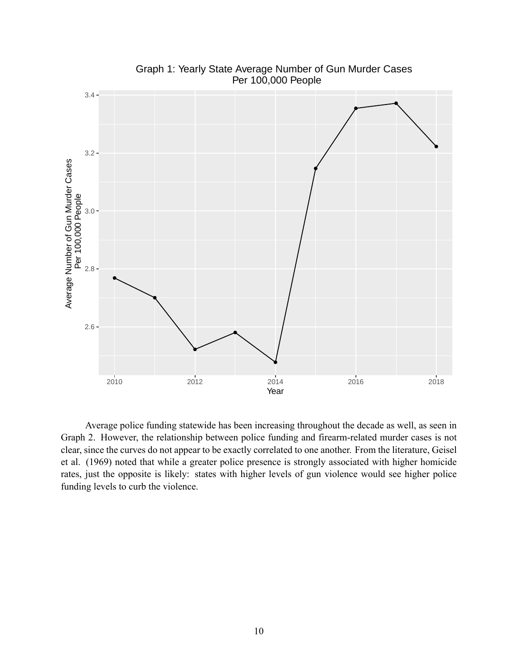

Graph 1: Yearly State Average Number of Gun Murder Cases Per 100,000 People

Average police funding statewide has been increasing throughout the decade as well, as seen in Graph 2. However, the relationship between police funding and firearm-related murder cases is not clear, since the curves do not appear to be exactly correlated to one another. From the literature, Geisel et al. (1969) noted that while a greater police presence is strongly associated with higher homicide rates, just the opposite is likely: states with higher levels of gun violence would see higher police funding levels to curb the violence.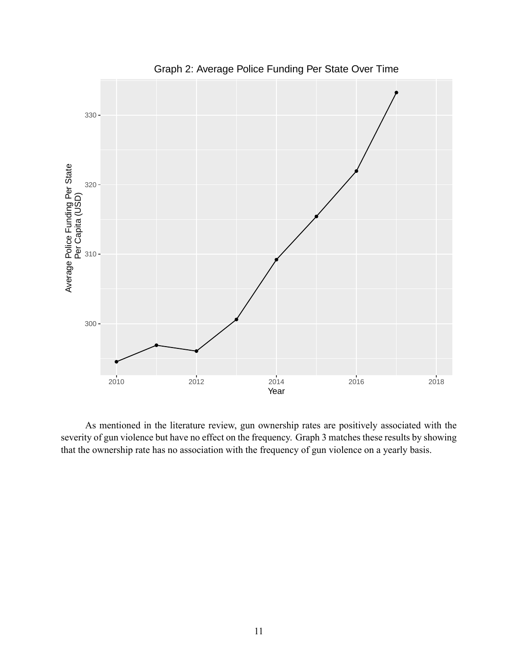

Graph 2: Average Police Funding Per State Over Time

As mentioned in the literature review, gun ownership rates are positively associated with the severity of gun violence but have no effect on the frequency. Graph 3 matches these results by showing that the ownership rate has no association with the frequency of gun violence on a yearly basis.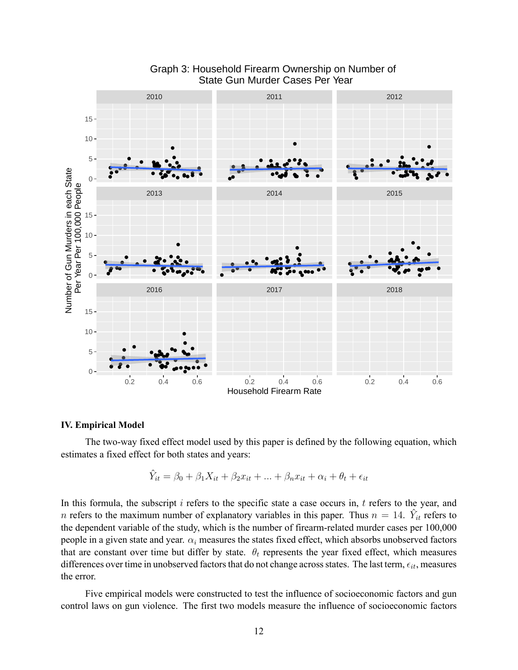

### Graph 3: Household Firearm Ownership on Number of State Gun Murder Cases Per Year

#### **IV. Empirical Model**

The two-way fixed effect model used by this paper is defined by the following equation, which estimates a fixed effect for both states and years:

$$
\hat{Y}_{it} = \beta_0 + \beta_1 X_{it} + \beta_2 x_{it} + \dots + \beta_n x_{it} + \alpha_i + \theta_t + \epsilon_{it}
$$

In this formula, the subscript *i* refers to the specific state a case occurs in, *t* refers to the year, and *n* refers to the maximum number of explanatory variables in this paper. Thus  $n = 14$ .  $\hat{Y}_{it}$  refers to the dependent variable of the study, which is the number of firearm-related murder cases per 100,000 people in a given state and year.  $\alpha_i$  measures the states fixed effect, which absorbs unobserved factors that are constant over time but differ by state.  $\theta_t$  represents the year fixed effect, which measures differences over time in unobserved factors that do not change across states. The last term,*ϵit*, measures the error.

Five empirical models were constructed to test the influence of socioeconomic factors and gun control laws on gun violence. The first two models measure the influence of socioeconomic factors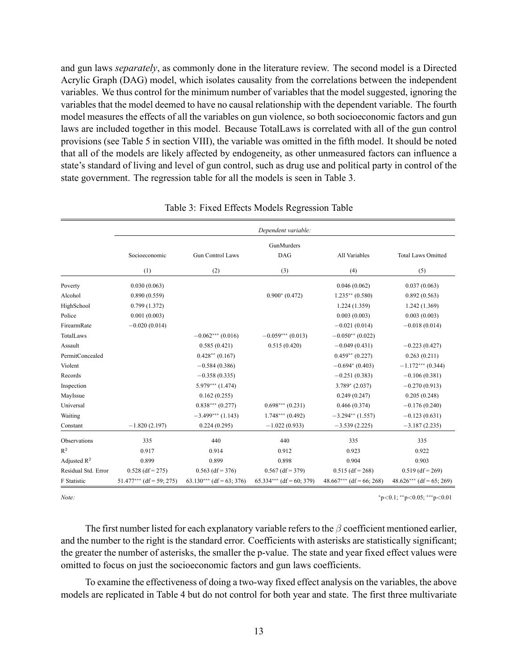and gun laws *separately*, as commonly done in the literature review. The second model is a Directed Acrylic Graph (DAG) model, which isolates causality from the correlations between the independent variables. We thus control for the minimum number of variables that the model suggested, ignoring the variables that the model deemed to have no causal relationship with the dependent variable. The fourth model measures the effects of all the variables on gun violence, so both socioeconomic factors and gun laws are included together in this model. Because TotalLaws is correlated with all of the gun control provisions (see Table 5 in section VIII), the variable was omitted in the fifth model. It should be noted that all of the models are likely affected by endogeneity, as other unmeasured factors can influence a state's standard of living and level of gun control, such as drug use and political party in control of the state government. The regression table for all the models is seen in Table 3.

|                     |                            |                            | Dependent variable:        |                            |                            |  |
|---------------------|----------------------------|----------------------------|----------------------------|----------------------------|----------------------------|--|
|                     |                            |                            | GunMurders                 |                            |                            |  |
|                     | Socioeconomic              | <b>Gun Control Laws</b>    | <b>DAG</b>                 | All Variables              | <b>Total Laws Omitted</b>  |  |
|                     | (1)                        | (2)                        | (3)                        | (4)                        | (5)                        |  |
| Poverty             | 0.030(0.063)               |                            |                            | 0.046(0.062)               | 0.037(0.063)               |  |
| Alcohol             | 0.890(0.559)               |                            | $0.900*(0.472)$            | $1.235**$ (0.580)          | 0.892(0.563)               |  |
| HighSchool          | 0.799(1.372)               |                            |                            | 1.224(1.359)               | 1.242(1.369)               |  |
| Police              | 0.001(0.003)               |                            |                            | 0.003(0.003)               | 0.003(0.003)               |  |
| FirearmRate         | $-0.020(0.014)$            |                            |                            | $-0.021(0.014)$            | $-0.018(0.014)$            |  |
| TotalLaws           |                            | $-0.062***(0.016)$         | $-0.059***(0.013)$         | $-0.050**$ (0.022)         |                            |  |
| Assault             |                            | 0.585(0.421)               | 0.515(0.420)               | $-0.049(0.431)$            | $-0.223(0.427)$            |  |
| PermitConcealed     |                            | $0.428**$ (0.167)          |                            | $0.459**$ (0.227)          | 0.263(0.211)               |  |
| Violent             |                            | $-0.584(0.386)$            |                            | $-0.694*(0.403)$           | $-1.172***$ (0.344)        |  |
| Records             |                            | $-0.358(0.335)$            |                            | $-0.251(0.383)$            | $-0.106(0.381)$            |  |
| Inspection          |                            | $5.979***$ (1.474)         |                            | $3.789* (2.037)$           | $-0.270(0.913)$            |  |
| MayIssue            |                            | 0.162(0.255)               |                            | 0.249(0.247)               | 0.205(0.248)               |  |
| Universal           |                            | $0.838***(0.277)$          | $0.698***(0.231)$          | 0.466(0.374)               | $-0.176(0.240)$            |  |
| Waiting             |                            | $-3.499***$ (1.143)        | $1.748***$ (0.492)         | $-3.294**$ (1.557)         | $-0.123(0.631)$            |  |
| Constant            | $-1.820(2.197)$            | 0.224(0.295)               | $-1.022(0.933)$            | $-3.539(2.225)$            | $-3.187(2.235)$            |  |
| Observations        | 335                        | 440                        | 440                        | 335                        | 335                        |  |
| $\mathbb{R}^2$      | 0.917                      | 0.914                      | 0.912                      | 0.923                      | 0.922                      |  |
| Adjusted $R^2$      | 0.899                      | 0.899                      | 0.898                      | 0.904                      | 0.903                      |  |
| Residual Std. Error | $0.528$ (df = 275)         | $0.563$ (df = 376)         | $0.567$ (df = 379)         | $0.515$ (df = 268)         | $0.519$ (df = 269)         |  |
| F Statistic         | $51.477***$ (df = 59; 275) | $63.130***$ (df = 63; 376) | $65.334***$ (df = 60; 379) | $48.667***$ (df = 66; 268) | $48.626***$ (df = 65; 269) |  |

|  |  | Table 3: Fixed Effects Models Regression Table |  |
|--|--|------------------------------------------------|--|
|  |  |                                                |  |

*Note: <sup>∗</sup>*p*<*0.1; *∗∗*p*<*0.05; *∗∗∗*p*<*0.01

The first number listed for each explanatory variable refers to the *β* coefficient mentioned earlier, and the number to the right is the standard error. Coefficients with asterisks are statistically significant; the greater the number of asterisks, the smaller the p-value. The state and year fixed effect values were omitted to focus on just the socioeconomic factors and gun laws coefficients.

To examine the effectiveness of doing a two-way fixed effect analysis on the variables, the above models are replicated in Table 4 but do not control for both year and state. The first three multivariate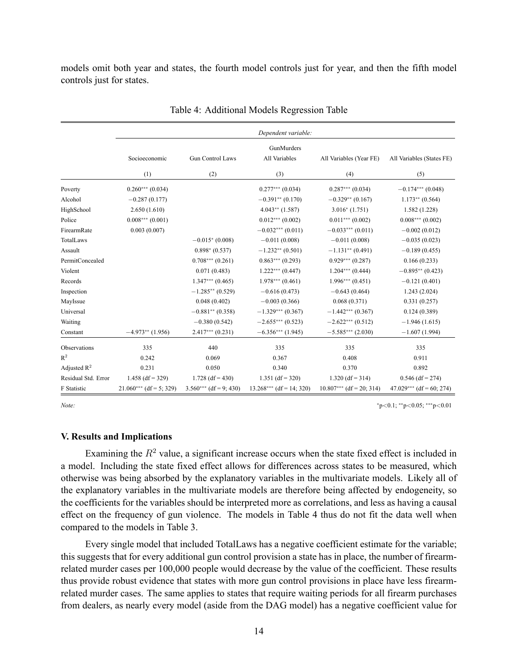models omit both year and states, the fourth model controls just for year, and then the fifth model controls just for states.

|                     | Dependent variable:       |                          |                            |                            |                            |  |  |  |  |  |
|---------------------|---------------------------|--------------------------|----------------------------|----------------------------|----------------------------|--|--|--|--|--|
|                     |                           |                          | GunMurders                 |                            |                            |  |  |  |  |  |
|                     | Socioeconomic             | <b>Gun Control Laws</b>  | All Variables              | All Variables (Year FE)    | All Variables (States FE)  |  |  |  |  |  |
|                     | (1)                       | (2)                      | (3)                        | (4)                        | (5)                        |  |  |  |  |  |
| Poverty             | $0.260***(0.034)$         |                          | $0.277***$ (0.034)         | $0.287***(0.034)$          | $-0.174***$ (0.048)        |  |  |  |  |  |
| Alcohol             | $-0.287(0.177)$           |                          | $-0.391**$ (0.170)         | $-0.329**$ (0.167)         | $1.173**$ (0.564)          |  |  |  |  |  |
| HighSchool          | 2.650(1.610)              |                          | $4.043**$ (1.587)          | $3.016*(1.751)$            | 1.582(1.228)               |  |  |  |  |  |
| Police              | $0.008***(0.001)$         |                          | $0.012***$ (0.002)         | $0.011***(0.002)$          | $0.008***(0.002)$          |  |  |  |  |  |
| FirearmRate         | 0.003(0.007)              |                          | $-0.032***(0.011)$         | $-0.033***$ (0.011)        | $-0.002(0.012)$            |  |  |  |  |  |
| TotalLaws           |                           | $-0.015*(0.008)$         | $-0.011(0.008)$            | $-0.011(0.008)$            | $-0.035(0.023)$            |  |  |  |  |  |
| Assault             |                           | $0.898* (0.537)$         | $-1.232**$ (0.501)         | $-1.131**$ (0.491)         | $-0.189(0.455)$            |  |  |  |  |  |
| PermitConcealed     |                           | $0.708***(0.261)$        | $0.863***(0.293)$          | $0.929***(0.287)$          | 0.166(0.233)               |  |  |  |  |  |
| Violent             |                           | 0.071(0.483)             | $1.222***(0.447)$          | $1.204***(0.444)$          | $-0.895**$ (0.423)         |  |  |  |  |  |
| Records             |                           | $1.347***(0.465)$        | $1.978***(0.461)$          | $1.996***(0.451)$          | $-0.121(0.401)$            |  |  |  |  |  |
| Inspection          |                           | $-1.285**$ (0.529)       | $-0.616(0.473)$            | $-0.643(0.464)$            | 1.243(2.024)               |  |  |  |  |  |
| MayIssue            |                           | 0.048(0.402)             | $-0.003(0.366)$            | 0.068(0.371)               | 0.331(0.257)               |  |  |  |  |  |
| Universal           |                           | $-0.881**$ (0.358)       | $-1.329***$ (0.367)        | $-1.442***(0.367)$         | 0.124(0.389)               |  |  |  |  |  |
| Waiting             |                           | $-0.380(0.542)$          | $-2.655***(0.523)$         | $-2.622***(0.512)$         | $-1.946(1.615)$            |  |  |  |  |  |
| Constant            | $-4.973**$ (1.956)        | $2.417***(0.231)$        | $-6.356***$ (1.945)        | $-5.585***$ (2.030)        | $-1.607(1.994)$            |  |  |  |  |  |
| Observations        | 335                       | 440                      | 335                        | 335                        | 335                        |  |  |  |  |  |
| $\mathbb{R}^2$      | 0.242                     | 0.069                    | 0.367                      | 0.408                      | 0.911                      |  |  |  |  |  |
| Adjusted $R^2$      | 0.231                     | 0.050                    | 0.340                      | 0.370                      | 0.892                      |  |  |  |  |  |
| Residual Std. Error | $1.458$ (df = 329)        | $1.728$ (df = 430)       | $1.351$ (df = 320)         | $1.320$ (df = 314)         | $0.546$ (df = 274)         |  |  |  |  |  |
| F Statistic         | $21.060***$ (df = 5; 329) | $3.560***$ (df = 9; 430) | $13.268***$ (df = 14; 320) | $10.807***$ (df = 20; 314) | $47.029***$ (df = 60; 274) |  |  |  |  |  |

Table 4: Additional Models Regression Table

*Note: <sup>∗</sup>*p*<*0.1; *∗∗*p*<*0.05; *∗∗∗*p*<*0.01

#### **V. Results and Implications**

Examining the  $R<sup>2</sup>$  value, a significant increase occurs when the state fixed effect is included in a model. Including the state fixed effect allows for differences across states to be measured, which otherwise was being absorbed by the explanatory variables in the multivariate models. Likely all of the explanatory variables in the multivariate models are therefore being affected by endogeneity, so the coefficients for the variables should be interpreted more as correlations, and less as having a causal effect on the frequency of gun violence. The models in Table 4 thus do not fit the data well when compared to the models in Table 3.

Every single model that included TotalLaws has a negative coefficient estimate for the variable; this suggests that for every additional gun control provision a state has in place, the number of firearmrelated murder cases per 100,000 people would decrease by the value of the coefficient. These results thus provide robust evidence that states with more gun control provisions in place have less firearmrelated murder cases. The same applies to states that require waiting periods for all firearm purchases from dealers, as nearly every model (aside from the DAG model) has a negative coefficient value for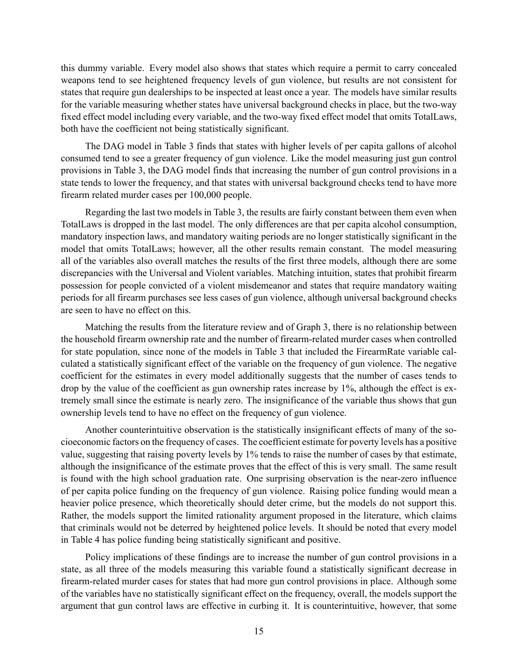this dummy variable. Every model also shows that states which require a permit to carry concealed weapons tend to see heightened frequency levels of gun violence, but results are not consistent for states that require gun dealerships to be inspected at least once a year. The models have similar results for the variable measuring whether states have universal background checks in place, but the two-way fixed effect model including every variable, and the two-way fixed effect model that omits TotalLaws, both have the coefficient not being statistically significant.

The DAG model in Table 3 finds that states with higher levels of per capita gallons of alcohol consumed tend to see a greater frequency of gun violence. Like the model measuring just gun control provisions in Table 3, the DAG model finds that increasing the number of gun control provisions in a state tends to lower the frequency, and that states with universal background checks tend to have more firearm related murder cases per 100,000 people.

Regarding the last two models in Table 3, the results are fairly constant between them even when TotalLaws is dropped in the last model. The only differences are that per capita alcohol consumption, mandatory inspection laws, and mandatory waiting periods are no longer statistically significant in the model that omits TotalLaws; however, all the other results remain constant. The model measuring all of the variables also overall matches the results of the first three models, although there are some discrepancies with the Universal and Violent variables. Matching intuition, states that prohibit firearm possession for people convicted of a violent misdemeanor and states that require mandatory waiting periods for all firearm purchases see less cases of gun violence, although universal background checks are seen to have no effect on this.

Matching the results from the literature review and of Graph 3, there is no relationship between the household firearm ownership rate and the number of firearm-related murder cases when controlled for state population, since none of the models in Table 3 that included the FirearmRate variable calculated a statistically significant effect of the variable on the frequency of gun violence. The negative coefficient for the estimates in every model additionally suggests that the number of cases tends to drop by the value of the coefficient as gun ownership rates increase by 1%, although the effect is extremely small since the estimate is nearly zero. The insignificance of the variable thus shows that gun ownership levels tend to have no effect on the frequency of gun violence.

Another counterintuitive observation is the statistically insignificant effects of many of the socioeconomic factors on the frequency of cases. The coefficient estimate for poverty levels has a positive value, suggesting that raising poverty levels by 1% tends to raise the number of cases by that estimate, although the insignificance of the estimate proves that the effect of this is very small. The same result is found with the high school graduation rate. One surprising observation is the near-zero influence of per capita police funding on the frequency of gun violence. Raising police funding would mean a heavier police presence, which theoretically should deter crime, but the models do not support this. Rather, the models support the limited rationality argument proposed in the literature, which claims that criminals would not be deterred by heightened police levels. It should be noted that every model in Table 4 has police funding being statistically significant and positive.

Policy implications of these findings are to increase the number of gun control provisions in a state, as all three of the models measuring this variable found a statistically significant decrease in firearm-related murder cases for states that had more gun control provisions in place. Although some of the variables have no statistically significant effect on the frequency, overall, the models support the argument that gun control laws are effective in curbing it. It is counterintuitive, however, that some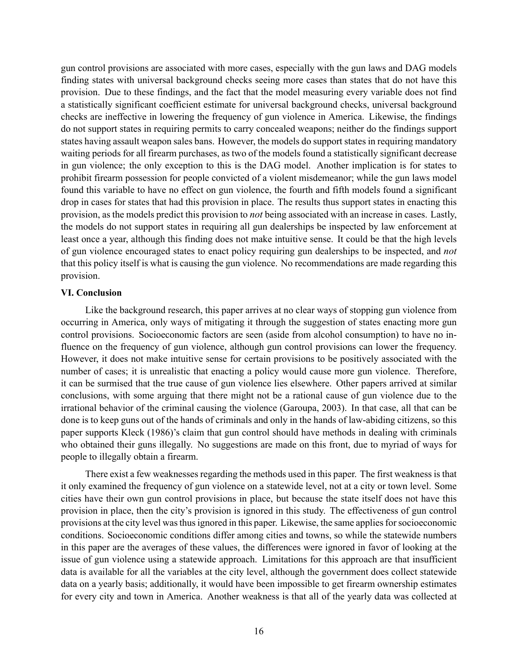gun control provisions are associated with more cases, especially with the gun laws and DAG models finding states with universal background checks seeing more cases than states that do not have this provision. Due to these findings, and the fact that the model measuring every variable does not find a statistically significant coefficient estimate for universal background checks, universal background checks are ineffective in lowering the frequency of gun violence in America. Likewise, the findings do not support states in requiring permits to carry concealed weapons; neither do the findings support states having assault weapon sales bans. However, the models do support states in requiring mandatory waiting periods for all firearm purchases, as two of the models found a statistically significant decrease in gun violence; the only exception to this is the DAG model. Another implication is for states to prohibit firearm possession for people convicted of a violent misdemeanor; while the gun laws model found this variable to have no effect on gun violence, the fourth and fifth models found a significant drop in cases for states that had this provision in place. The results thus support states in enacting this provision, as the models predict this provision to *not* being associated with an increase in cases. Lastly, the models do not support states in requiring all gun dealerships be inspected by law enforcement at least once a year, although this finding does not make intuitive sense. It could be that the high levels of gun violence encouraged states to enact policy requiring gun dealerships to be inspected, and *not* that this policy itself is what is causing the gun violence. No recommendations are made regarding this provision.

#### **VI. Conclusion**

Like the background research, this paper arrives at no clear ways of stopping gun violence from occurring in America, only ways of mitigating it through the suggestion of states enacting more gun control provisions. Socioeconomic factors are seen (aside from alcohol consumption) to have no influence on the frequency of gun violence, although gun control provisions can lower the frequency. However, it does not make intuitive sense for certain provisions to be positively associated with the number of cases; it is unrealistic that enacting a policy would cause more gun violence. Therefore, it can be surmised that the true cause of gun violence lies elsewhere. Other papers arrived at similar conclusions, with some arguing that there might not be a rational cause of gun violence due to the irrational behavior of the criminal causing the violence (Garoupa, 2003). In that case, all that can be done is to keep guns out of the hands of criminals and only in the hands of law-abiding citizens, so this paper supports Kleck (1986)'s claim that gun control should have methods in dealing with criminals who obtained their guns illegally. No suggestions are made on this front, due to myriad of ways for people to illegally obtain a firearm.

There exist a few weaknesses regarding the methods used in this paper. The first weakness is that it only examined the frequency of gun violence on a statewide level, not at a city or town level. Some cities have their own gun control provisions in place, but because the state itself does not have this provision in place, then the city's provision is ignored in this study. The effectiveness of gun control provisions at the city level was thus ignored in this paper. Likewise, the same applies for socioeconomic conditions. Socioeconomic conditions differ among cities and towns, so while the statewide numbers in this paper are the averages of these values, the differences were ignored in favor of looking at the issue of gun violence using a statewide approach. Limitations for this approach are that insufficient data is available for all the variables at the city level, although the government does collect statewide data on a yearly basis; additionally, it would have been impossible to get firearm ownership estimates for every city and town in America. Another weakness is that all of the yearly data was collected at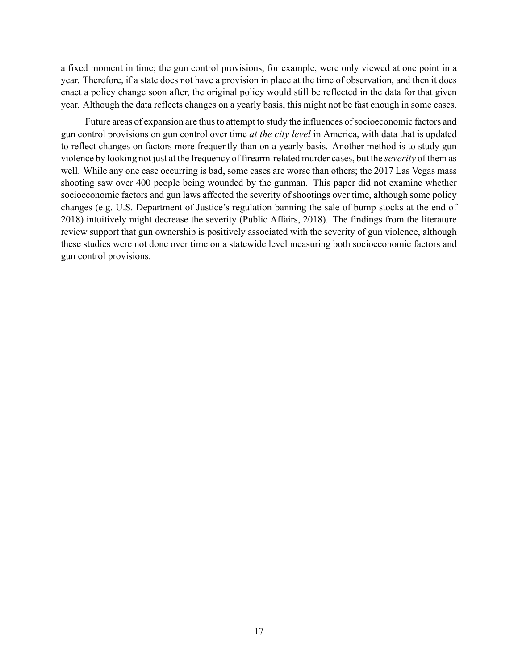a fixed moment in time; the gun control provisions, for example, were only viewed at one point in a year. Therefore, if a state does not have a provision in place at the time of observation, and then it does enact a policy change soon after, the original policy would still be reflected in the data for that given year. Although the data reflects changes on a yearly basis, this might not be fast enough in some cases.

Future areas of expansion are thus to attempt to study the influences of socioeconomic factors and gun control provisions on gun control over time *at the city level* in America, with data that is updated to reflect changes on factors more frequently than on a yearly basis. Another method is to study gun violence by looking not just at the frequency of firearm-related murder cases, but the *severity* of them as well. While any one case occurring is bad, some cases are worse than others; the 2017 Las Vegas mass shooting saw over 400 people being wounded by the gunman. This paper did not examine whether socioeconomic factors and gun laws affected the severity of shootings over time, although some policy changes (e.g. U.S. Department of Justice's regulation banning the sale of bump stocks at the end of 2018) intuitively might decrease the severity (Public Affairs, 2018). The findings from the literature review support that gun ownership is positively associated with the severity of gun violence, although these studies were not done over time on a statewide level measuring both socioeconomic factors and gun control provisions.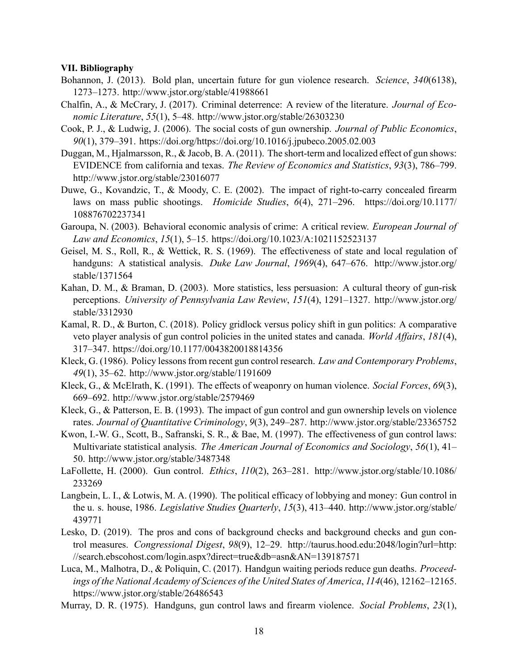#### **VII. Bibliography**

- Bohannon, J. (2013). Bold plan, uncertain future for gun violence research. *Science*, *340*(6138), 1273–1273. <http://www.jstor.org/stable/41988661>
- Chalfin, A., & McCrary, J. (2017). Criminal deterrence: A review of the literature. *Journal of Economic Literature*, *55*(1), 5–48. <http://www.jstor.org/stable/26303230>
- Cook, P. J., & Ludwig, J. (2006). The social costs of gun ownership. *Journal of Public Economics*, *90*(1), 379–391. <https://doi.org/https://doi.org/10.1016/j.jpubeco.2005.02.003>
- Duggan, M., Hjalmarsson, R., & Jacob, B. A. (2011). The short-term and localized effect of gun shows: EVIDENCE from california and texas. *The Review of Economics and Statistics*, *93*(3), 786–799. <http://www.jstor.org/stable/23016077>
- Duwe, G., Kovandzic, T., & Moody, C. E. (2002). The impact of right-to-carry concealed firearm laws on mass public shootings. *Homicide Studies*, *6*(4), 271–296. [https://doi.org/10.1177/](https://doi.org/10.1177/108876702237341) [108876702237341](https://doi.org/10.1177/108876702237341)
- Garoupa, N. (2003). Behavioral economic analysis of crime: A critical review. *European Journal of Law and Economics*, *15*(1), 5–15. <https://doi.org/10.1023/A:1021152523137>
- Geisel, M. S., Roll, R., & Wettick, R. S. (1969). The effectiveness of state and local regulation of handguns: A statistical analysis. *Duke Law Journal*, *1969*(4), 647–676. [http://www.jstor.org/](http://www.jstor.org/stable/1371564) [stable/1371564](http://www.jstor.org/stable/1371564)
- Kahan, D. M., & Braman, D. (2003). More statistics, less persuasion: A cultural theory of gun-risk perceptions. *University of Pennsylvania Law Review*, *151*(4), 1291–1327. [http://www.jstor.org/](http://www.jstor.org/stable/3312930) [stable/3312930](http://www.jstor.org/stable/3312930)
- Kamal, R. D., & Burton, C. (2018). Policy gridlock versus policy shift in gun politics: A comparative veto player analysis of gun control policies in the united states and canada. *World Affairs*, *181*(4), 317–347. <https://doi.org/10.1177/0043820018814356>
- Kleck, G. (1986). Policy lessons from recent gun control research. *Law and Contemporary Problems*, *49*(1), 35–62. <http://www.jstor.org/stable/1191609>
- Kleck, G., & McElrath, K. (1991). The effects of weaponry on human violence. *Social Forces*, *69*(3), 669–692. <http://www.jstor.org/stable/2579469>
- Kleck, G., & Patterson, E. B. (1993). The impact of gun control and gun ownership levels on violence rates. *Journal of Quantitative Criminology*, *9*(3), 249–287. <http://www.jstor.org/stable/23365752>
- Kwon, I.-W. G., Scott, B., Safranski, S. R., & Bae, M. (1997). The effectiveness of gun control laws: Multivariate statistical analysis. *The American Journal of Economics and Sociology*, *56*(1), 41– 50. <http://www.jstor.org/stable/3487348>
- LaFollette, H. (2000). Gun control. *Ethics*, *110*(2), 263–281. [http://www.jstor.org/stable/10.1086/](http://www.jstor.org/stable/10.1086/233269) [233269](http://www.jstor.org/stable/10.1086/233269)
- Langbein, L. I., & Lotwis, M. A. (1990). The political efficacy of lobbying and money: Gun control in the u. s. house, 1986. *Legislative Studies Quarterly*, *15*(3), 413–440. [http://www.jstor.org/stable/](http://www.jstor.org/stable/439771) [439771](http://www.jstor.org/stable/439771)
- Lesko, D. (2019). The pros and cons of background checks and background checks and gun control measures. *Congressional Digest*, *98*(9), 12–29. [http://taurus.hood.edu:2048/login?url=http:](http://taurus.hood.edu:2048/login?url=http://search.ebscohost.com/login.aspx?direct=true&db=asn&AN=139187571) [//search.ebscohost.com/login.aspx?direct=true&db=asn&AN=139187571](http://taurus.hood.edu:2048/login?url=http://search.ebscohost.com/login.aspx?direct=true&db=asn&AN=139187571)
- Luca, M., Malhotra, D., & Poliquin, C. (2017). Handgun waiting periods reduce gun deaths. *Proceedings of the National Academy of Sciences of the United States of America*, *114*(46), 12162–12165. <https://www.jstor.org/stable/26486543>
- Murray, D. R. (1975). Handguns, gun control laws and firearm violence. *Social Problems*, *23*(1),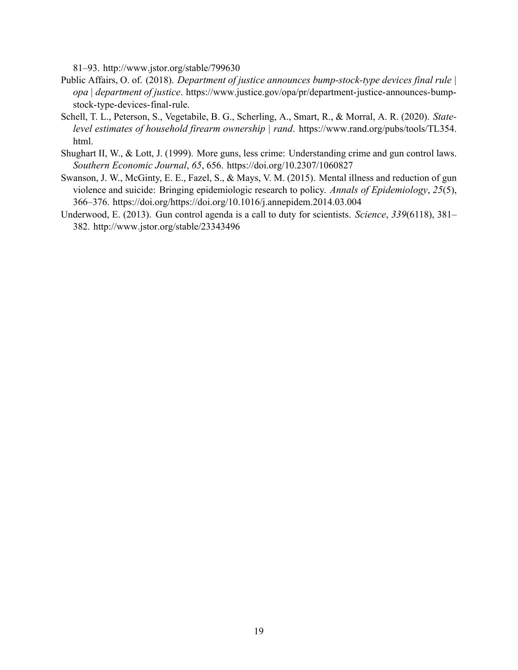81–93. <http://www.jstor.org/stable/799630>

- Public Affairs, O. of. (2018). *Department of justice announces bump-stock-type devices final rule | opa | department of justice*. [https://www.justice.gov/opa/pr/department-justice-announces-bump](https://www.justice.gov/opa/pr/department-justice-announces-bump-stock-type-devices-final-rule)[stock-type-devices-final-rule](https://www.justice.gov/opa/pr/department-justice-announces-bump-stock-type-devices-final-rule).
- Schell, T. L., Peterson, S., Vegetabile, B. G., Scherling, A., Smart, R., & Morral, A. R. (2020). *Statelevel estimates of household firearm ownership | rand*. [https://www.rand.org/pubs/tools/TL354.](https://www.rand.org/pubs/tools/TL354.html) [html.](https://www.rand.org/pubs/tools/TL354.html)
- Shughart II, W., & Lott, J. (1999). More guns, less crime: Understanding crime and gun control laws. *Southern Economic Journal*, *65*, 656. <https://doi.org/10.2307/1060827>
- Swanson, J. W., McGinty, E. E., Fazel, S., & Mays, V. M. (2015). Mental illness and reduction of gun violence and suicide: Bringing epidemiologic research to policy. *Annals of Epidemiology*, *25*(5), 366–376. <https://doi.org/https://doi.org/10.1016/j.annepidem.2014.03.004>
- Underwood, E. (2013). Gun control agenda is a call to duty for scientists. *Science*, *339*(6118), 381– 382. <http://www.jstor.org/stable/23343496>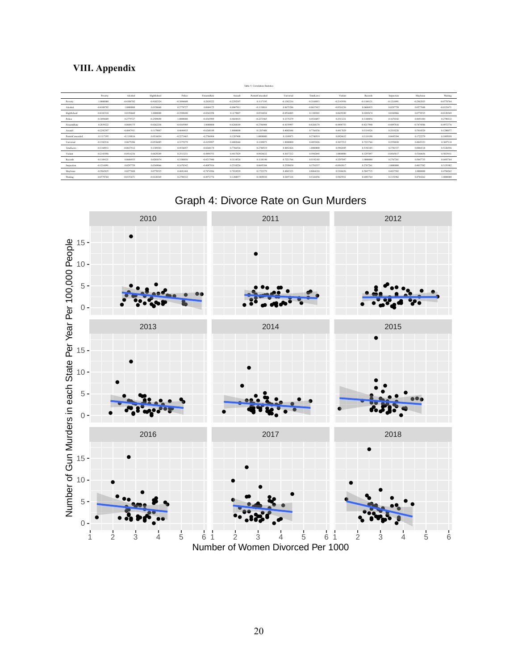### **VIII. Appendix**

|                  |              |              |              |              |              |              | Table 5: Correlation Statistics |              |              |              |              |              |              |              |
|------------------|--------------|--------------|--------------|--------------|--------------|--------------|---------------------------------|--------------|--------------|--------------|--------------|--------------|--------------|--------------|
|                  | Poverty      | Alcohol      | HighSchool   | Police       | FirearmRate  | Assault      | PermitConcealed                 | Universal    | TotalLaws    | Violent      | Records      | Inspection   | Maylssue     | Waiting      |
| Poverty          | 1,0000000    | $-0.4308702$ | $-0.4102324$ | $-0.3094609$ | 0.2839222    | $-0.2292397$ | 0.1117195                       | $-0.1382216$ | $-0.3168913$ | $-0.2143956$ | $-0.1104121$ | $-0.1216991$ | $-0.2962835$ | $-0.0778764$ |
| Alcohol          | $-0.4308702$ | 1.0000000    | 0.0150660    | 0.2779727    | 0.0604175    | $-0.0847911$ | $-0.1130816$                    | 0.0675286    | $-0.0637412$ | $-0.0516236$ | 0.0606935    | 0.0297759    | 0.0277688    | $-0.0153671$ |
| HighSchool       | $-0.4102324$ | 0.0150660    | 1.0000000    | $-0.2509690$ | $-0.0262258$ | 0.1179807    | 0.0516034                       | $-0.0536085$ | 0.1389303    | 0.0629249    | 0.0285674    | 0.0369066    | 0.0770535    | $-0.0120369$ |
| Police           | $-0.3094609$ | 0.2779727    | $-0.2509690$ | 1,0000000    | -0.4365989   | 0.4644415    | $-0.2273465$                    | 0.3375279    | 0.4536057    | 0.2513231    | 0.3180856    | 0.1670342    | 0.4691444    | 0.2790332    |
| FirearmRate      | 0.2839222    | 0.0604175    | $-0.0262258$ | $-0.4365989$ | 1.0000000    | $-0.6268189$ | $-0.2786904$                    | $-0.4159997$ | $-0.8268174$ | $-0.4494753$ | $-0.4217940$ | $-0.4097816$ | $-0.7474586$ | $-0.4972776$ |
| Assault          | $-0.2292397$ | $-0.0847911$ | 0.1179807    | 0.4644415    | $-0.6268189$ | 1,0000000    | 0.1207408                       | 0.4002646    | 0.7766536    | 0.4417829    | 0.3114526    | 0.2510226    | 0.7010529    | 0.1280077    |
| PermitConcealed  | 0.1117195    | $-0.1130816$ | 0.0516034    | $-0.2273465$ | $-0.2786904$ | 0.1207408    | 1.0000000                       | 0.1189873    | 0.2740519    | 0.0924632    | 0.1118198    | 0.0695384    | 0.1722279    | 0.1005038    |
| Universal        | $-0.1382216$ | 0.0675286    | $-0.0536085$ | 0.3375279    | $-0.4159997$ | 0.4002646    | 0.1189873                       | 1,0000000    | 0.4852426    | 0.3037212    | 0.7221766    | 0.2558030    | 0.4845323    | 0.3697118    |
| <b>TotalLaws</b> | $-0.3168913$ | $-0.0637412$ | 0.1389303    | 0.4536057    | $-0.8268174$ | 0.7766536    | 0.2740519                       | 0.4852426    | 1,0000000    | 0.5942045    | 0.5192185    | 0.3781537    | 0.8064318    | 0.5326556    |
| Violent          | $-0.2143956$ | $-0.0516236$ | 0.0629249    | 0.2513231    | -0.4494753   | 0.4417829    | 0.0924632                       | 0.3037212    | 0.5942045    | 1,0000000    | 0.3297097    | $-0.0565817$ | 0.5368656    | 0.5025911    |
| Records          | $-0.1104121$ | 0.0606935    | 0.0285674    | 0.3180856    | $-0.4217940$ | 0.3114526    | 0.1118198                       | 0.7221766    | 0.5192185    | 0.3297097    | 1.0000000    | 0.2767261    | 0.5047735    | 0.6493764    |
| Inspection       | $-0.1216991$ | 0.0297759    | 0.0369066    | 0.1670342    | $-0.4097816$ | 0.2510226    | 0.0695384                       | 0.2558030    | 0.3781537    | $-0.0565817$ | 0.2767261    | 1.0000000    | 0.4037582    | 0.3151982    |
| MayIssue         | $-0.2962835$ | 0.0277688    | 0.0770535    | 0.4691444    | $-0.7474586$ | 0.7010529    | 0.1722279                       | 0.4845323    | 0.8064318    | 0.5368656    | 0.5047735    | 0.4037582    | 1,0000000    | 0.4784262    |
| Waiting          | $-0.0778764$ | $-0.0153671$ | $-0.0120369$ | 0.2790332    | $-0.4972776$ | 0.1280077    | 0.1005038                       | 0.3697118    | 0.5326556    | 0.5025911    | 0.6493764    | 0.3151982    | 0.4784262    | 1,0000000    |





Number of Women Divorced Per 1000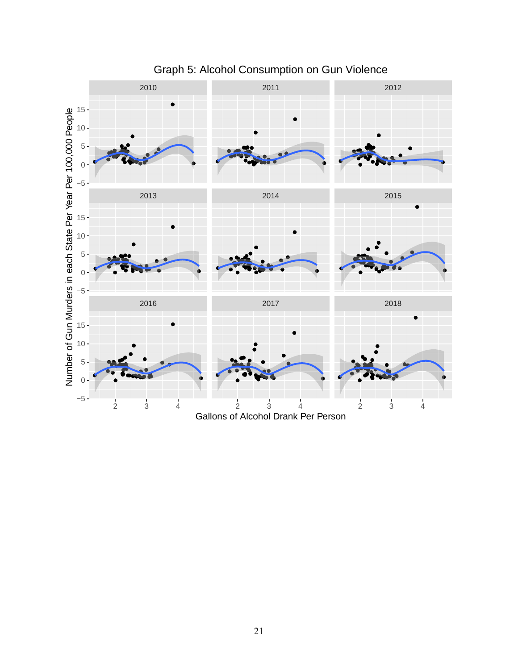

# Graph 5: Alcohol Consumption on Gun Violence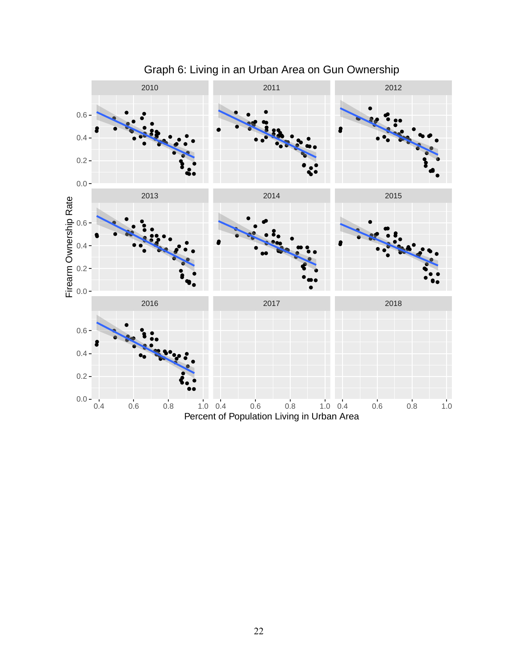

## Graph 6: Living in an Urban Area on Gun Ownership